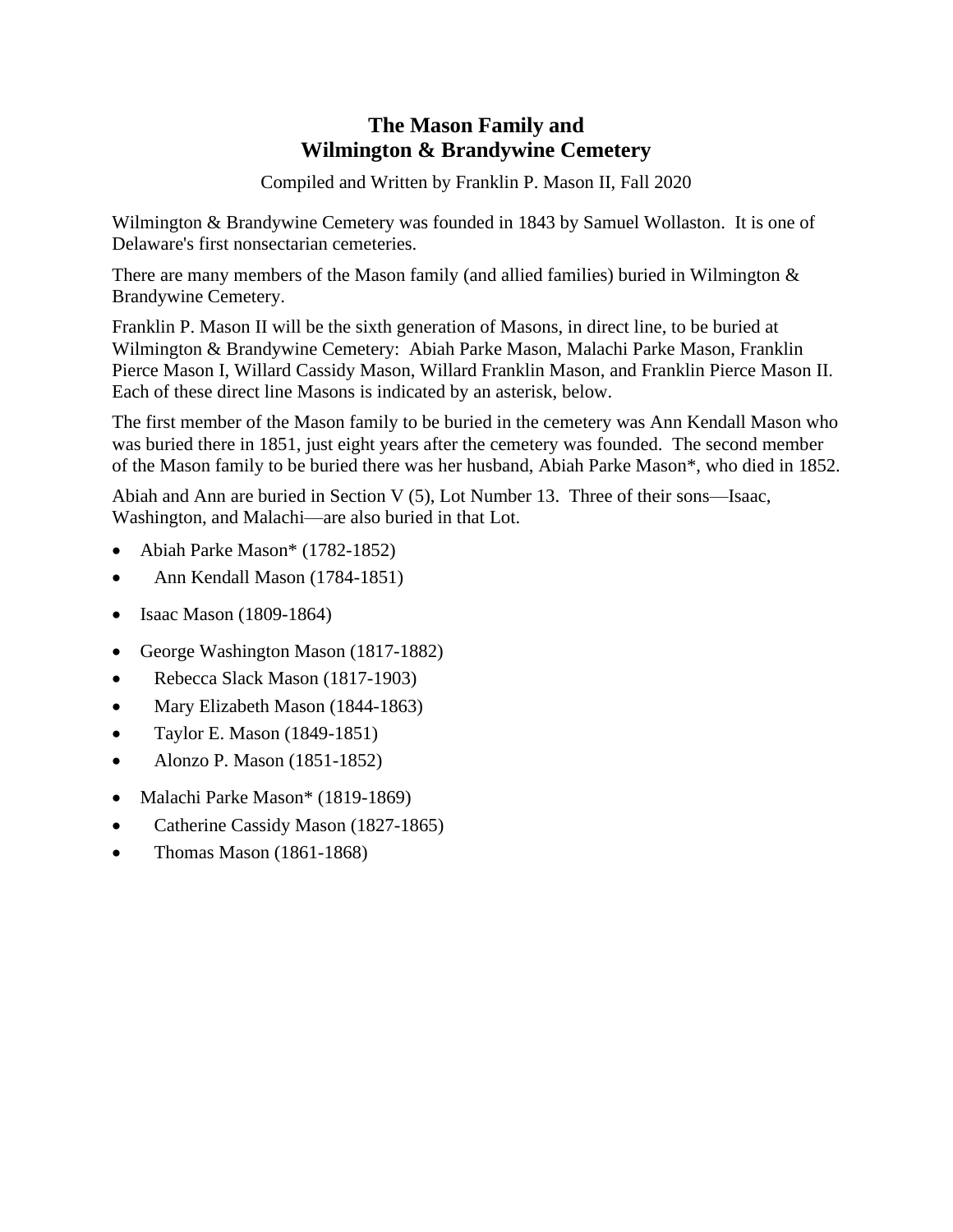## **The Mason Family and Wilmington & Brandywine Cemetery**

Compiled and Written by Franklin P. Mason II, Fall 2020

Wilmington & Brandywine Cemetery was founded in 1843 by Samuel Wollaston. It is one of Delaware's first nonsectarian cemeteries.

There are many members of the Mason family (and allied families) buried in Wilmington  $\&$ Brandywine Cemetery.

Franklin P. Mason II will be the sixth generation of Masons, in direct line, to be buried at Wilmington & Brandywine Cemetery: Abiah Parke Mason, Malachi Parke Mason, Franklin Pierce Mason I, Willard Cassidy Mason, Willard Franklin Mason, and Franklin Pierce Mason II. Each of these direct line Masons is indicated by an asterisk, below.

The first member of the Mason family to be buried in the cemetery was Ann Kendall Mason who was buried there in 1851, just eight years after the cemetery was founded. The second member of the Mason family to be buried there was her husband, Abiah Parke Mason\*, who died in 1852.

Abiah and Ann are buried in Section V (5), Lot Number 13. Three of their sons—Isaac, Washington, and Malachi—are also buried in that Lot.

- Abiah Parke Mason\* (1782-1852)
- Ann Kendall Mason (1784-1851)
- Isaac Mason (1809-1864)
- George Washington Mason (1817-1882)
- Rebecca Slack Mason (1817-1903)
- Mary Elizabeth Mason (1844-1863)
- Taylor E. Mason (1849-1851)
- Alonzo P. Mason (1851-1852)
- Malachi Parke Mason\* (1819-1869)
- Catherine Cassidy Mason (1827-1865)
- Thomas Mason (1861-1868)